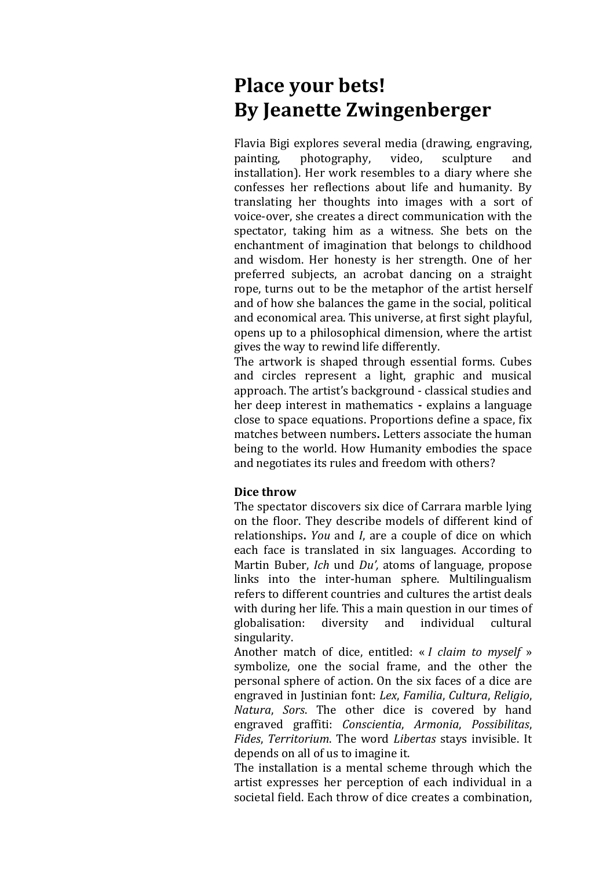## Place your bets! **By Jeanette Zwingenberger**

Flavia Bigi explores several media (drawing, engraving, painting, photography, video, sculpture and installation). Her work resembles to a diary where she confesses her reflections about life and humanity. By translating her thoughts into images with a sort of voice-over, she creates a direct communication with the spectator, taking him as a witness. She bets on the enchantment of imagination that belongs to childhood and wisdom. Her honesty is her strength. One of her preferred subjects, an acrobat dancing on a straight rope, turns out to be the metaphor of the artist herself and of how she balances the game in the social, political and economical area. This universe, at first sight playful, opens up to a philosophical dimension, where the artist gives the way to rewind life differently.

The artwork is shaped through essential forms. Cubes and circles represent a light, graphic and musical approach. The artist's background - classical studies and her deep interest in mathematics **-** explains a language close to space equations. Proportions define a space, fix matches between numbers. Letters associate the human being to the world. How Humanity embodies the space and negotiates its rules and freedom with others?

## **Dice throw**

The spectator discovers six dice of Carrara marble lying on the floor. They describe models of different kind of relationships. *You* and *I*, are a couple of dice on which each face is translated in six languages. According to Martin Buber, *Ich* und *Du'*, atoms of language, propose links into the inter-human sphere. Multilingualism refers to different countries and cultures the artist deals with during her life. This a main question in our times of globalisation: diversity and individual cultural singularity.

Another match of dice, entitled: « *I claim to myself* » symbolize, one the social frame, and the other the personal sphere of action. On the six faces of a dice are engraved in Justinian font: *Lex*, *Familia*, *Cultura*, *Religio*, *Natura*, *Sors*. The other dice is covered by hand engraved graffiti: *Conscientia*, *Armonia*, *Possibilitas*, *Fides, Territorium.* The word *Libertas* stays invisible. It depends on all of us to imagine it.

The installation is a mental scheme through which the artist expresses her perception of each individual in a societal field. Each throw of dice creates a combination,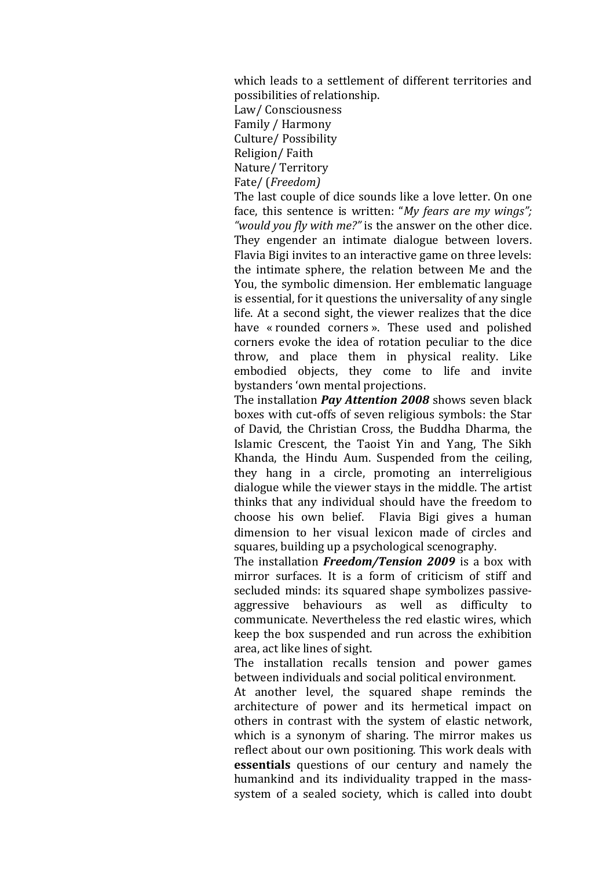which leads to a settlement of different territories and possibilities of relationship. Law/ Consciousness Family / Harmony Culture/ Possibility Religion/ Faith Nature/Territory Fate/ (*Freedom)*

The last couple of dice sounds like a love letter. On one face, this sentence is written: "*My fears are my wings"*; "would you fly with me?" is the answer on the other dice. They engender an intimate dialogue between lovers. Flavia Bigi invites to an interactive game on three levels: the intimate sphere, the relation between Me and the You, the symbolic dimension. Her emblematic language is essential, for it questions the universality of any single life. At a second sight, the viewer realizes that the dice have « rounded corners ». These used and polished corners evoke the idea of rotation peculiar to the dice throw, and place them in physical reality. Like embodied objects, they come to life and invite bystanders 'own mental projections.

The installation *Pay Attention 2008* shows seven black boxes with cut-offs of seven religious symbols: the Star of David, the Christian Cross, the Buddha Dharma, the Islamic Crescent, the Taoist Yin and Yang, The Sikh Khanda, the Hindu Aum. Suspended from the ceiling, they hang in a circle, promoting an interreligious dialogue while the viewer stays in the middle. The artist thinks that any individual should have the freedom to choose his own belief. Flavia Bigi gives a human dimension to her visual lexicon made of circles and squares, building up a psychological scenography.

The installation **Freedom/Tension 2009** is a box with mirror surfaces. It is a form of criticism of stiff and secluded minds: its squared shape symbolizes passiveaggressive behaviours as well as difficulty to communicate. Nevertheless the red elastic wires, which keep the box suspended and run across the exhibition area, act like lines of sight.

The installation recalls tension and power games between individuals and social political environment.

At another level, the squared shape reminds the architecture of power and its hermetical impact on others in contrast with the system of elastic network, which is a synonym of sharing. The mirror makes us reflect about our own positioning. This work deals with essentials questions of our century and namely the humankind and its individuality trapped in the masssystem of a sealed society, which is called into doubt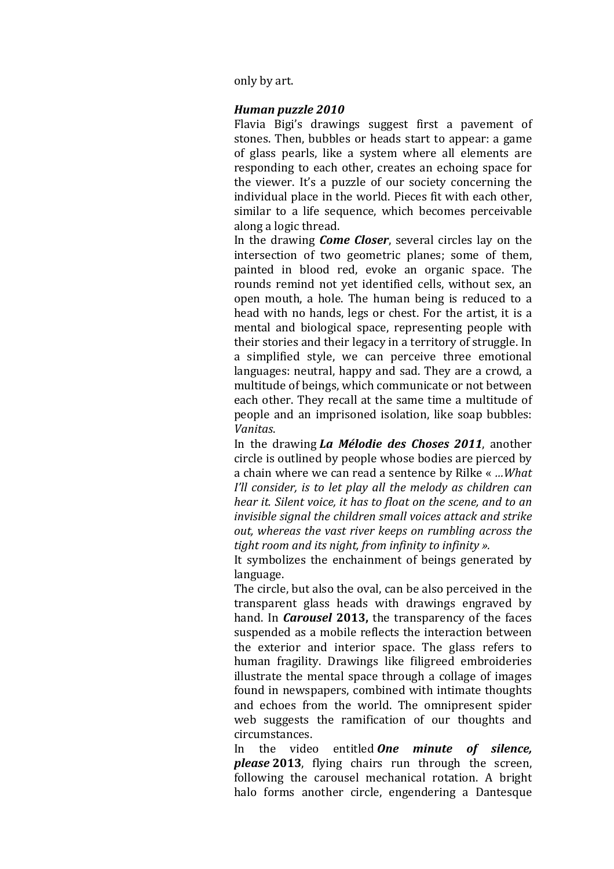only by art.

## *Human puzzle 2010*

Flavia Bigi's drawings suggest first a pavement of stones. Then, bubbles or heads start to appear: a game of glass pearls, like a system where all elements are responding to each other, creates an echoing space for the viewer. It's a puzzle of our society concerning the individual place in the world. Pieces fit with each other, similar to a life sequence, which becomes perceivable along a logic thread.

In the drawing *Come Closer*, several circles lay on the intersection of two geometric planes; some of them, painted in blood red, evoke an organic space. The rounds remind not yet identified cells, without sex, an open mouth, a hole. The human being is reduced to a head with no hands, legs or chest. For the artist, it is a mental and biological space, representing people with their stories and their legacy in a territory of struggle. In a simplified style, we can perceive three emotional languages: neutral, happy and sad. They are a crowd, a multitude of beings, which communicate or not between each other. They recall at the same time a multitude of people and an imprisoned isolation, like soap bubbles: *Vanitas*.

In the drawing *La Mélodie des Choses 2011*, another circle is outlined by people whose bodies are pierced by a chain where we can read a sentence by Rilke « *... What I'll consider, is to let play all the melody as children can hear it. Silent voice, it has to float on the scene, and to an invisible signal the children small voices attack and strike out, whereas the vast river keeps on rumbling across the tight room and its night, from infinity to infinity ».* 

It symbolizes the enchainment of beings generated by language.

The circle, but also the oval, can be also perceived in the transparent glass heads with drawings engraved by hand. In *Carousel* 2013, the transparency of the faces suspended as a mobile reflects the interaction between the exterior and interior space. The glass refers to human fragility. Drawings like filigreed embroideries illustrate the mental space through a collage of images found in newspapers, combined with intimate thoughts and echoes from the world. The omnipresent spider web suggests the ramification of our thoughts and circumstances.

In the video entitled **One minute of silence**, *please* 2013, flying chairs run through the screen, following the carousel mechanical rotation. A bright halo forms another circle, engendering a Dantesque